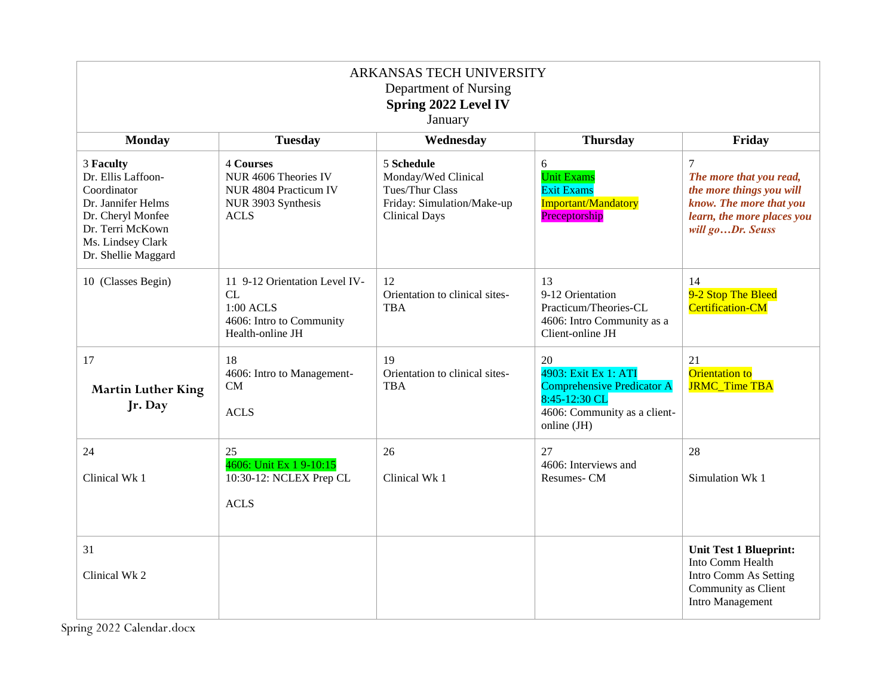| ARKANSAS TECH UNIVERSITY<br>Department of Nursing<br>Spring 2022 Level IV<br>January                                                                      |                                                                                                        |                                                                                                            |                                                                                                                                 |                                                                                                                                                    |
|-----------------------------------------------------------------------------------------------------------------------------------------------------------|--------------------------------------------------------------------------------------------------------|------------------------------------------------------------------------------------------------------------|---------------------------------------------------------------------------------------------------------------------------------|----------------------------------------------------------------------------------------------------------------------------------------------------|
| <b>Monday</b>                                                                                                                                             | <b>Tuesday</b>                                                                                         | Wednesday                                                                                                  | <b>Thursday</b>                                                                                                                 | Friday                                                                                                                                             |
| 3 Faculty<br>Dr. Ellis Laffoon-<br>Coordinator<br>Dr. Jannifer Helms<br>Dr. Cheryl Monfee<br>Dr. Terri McKown<br>Ms. Lindsey Clark<br>Dr. Shellie Maggard | <b>4 Courses</b><br>NUR 4606 Theories IV<br>NUR 4804 Practicum IV<br>NUR 3903 Synthesis<br><b>ACLS</b> | 5 Schedule<br>Monday/Wed Clinical<br>Tues/Thur Class<br>Friday: Simulation/Make-up<br><b>Clinical Days</b> | 6<br><b>Unit Exams</b><br><b>Exit Exams</b><br>Important/Mandatory<br>Preceptorship                                             | $\overline{7}$<br>The more that you read,<br>the more things you will<br>know. The more that you<br>learn, the more places you<br>will goDr. Seuss |
| 10 (Classes Begin)                                                                                                                                        | 11 9-12 Orientation Level IV-<br>CL<br>1:00 ACLS<br>4606: Intro to Community<br>Health-online JH       | 12<br>Orientation to clinical sites-<br><b>TBA</b>                                                         | 13<br>9-12 Orientation<br>Practicum/Theories-CL<br>4606: Intro Community as a<br>Client-online JH                               | 14<br>9-2 Stop The Bleed<br><b>Certification-CM</b>                                                                                                |
| 17<br><b>Martin Luther King</b><br>Jr. Day                                                                                                                | 18<br>4606: Intro to Management-<br><b>CM</b><br><b>ACLS</b>                                           | 19<br>Orientation to clinical sites-<br><b>TBA</b>                                                         | 20<br>4903: Exit Ex 1: ATI<br><b>Comprehensive Predicator A</b><br>8:45-12:30 CL<br>4606: Community as a client-<br>online (JH) | 21<br>Orientation to<br><b>JRMC_Time TBA</b>                                                                                                       |
| 24<br>Clinical Wk 1                                                                                                                                       | 25<br>4606: Unit Ex 1 9-10:15<br>10:30-12: NCLEX Prep CL<br><b>ACLS</b>                                | 26<br>Clinical Wk 1                                                                                        | 27<br>4606: Interviews and<br>Resumes-CM                                                                                        | 28<br>Simulation Wk 1                                                                                                                              |
| 31<br>Clinical Wk 2                                                                                                                                       |                                                                                                        |                                                                                                            |                                                                                                                                 | <b>Unit Test 1 Blueprint:</b><br>Into Comm Health<br>Intro Comm As Setting<br>Community as Client<br><b>Intro Management</b>                       |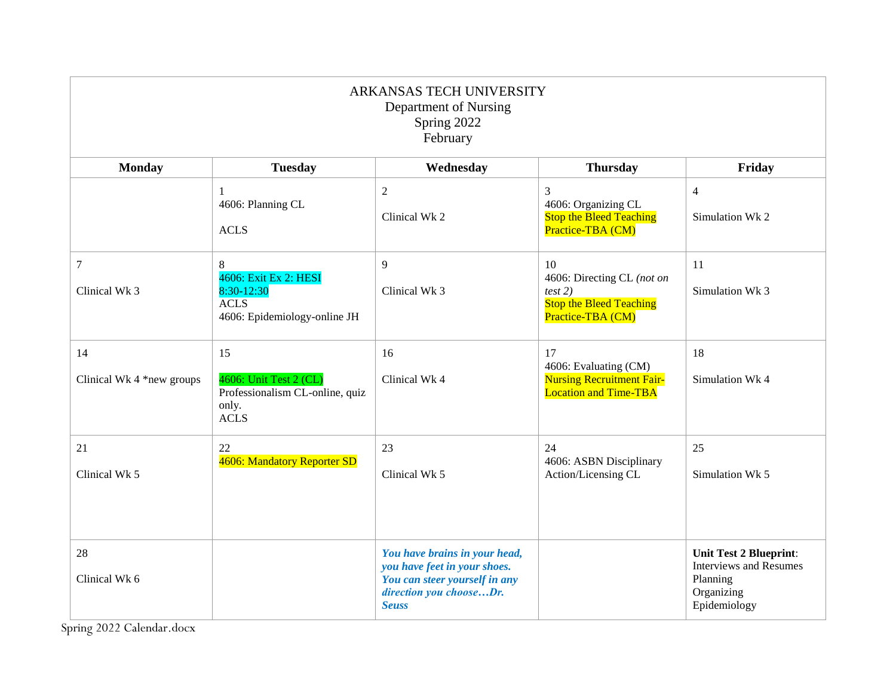| ARKANSAS TECH UNIVERSITY<br>Department of Nursing<br>Spring 2022<br>February |                                                                                               |                                                                                                                                           |                                                                                                    |                                                                                                          |
|------------------------------------------------------------------------------|-----------------------------------------------------------------------------------------------|-------------------------------------------------------------------------------------------------------------------------------------------|----------------------------------------------------------------------------------------------------|----------------------------------------------------------------------------------------------------------|
| <b>Monday</b>                                                                | <b>Tuesday</b>                                                                                | Wednesday                                                                                                                                 | <b>Thursday</b>                                                                                    | Friday                                                                                                   |
|                                                                              | 1<br>4606: Planning CL<br><b>ACLS</b>                                                         | $\overline{2}$<br>Clinical Wk 2                                                                                                           | 3<br>4606: Organizing CL<br><b>Stop the Bleed Teaching</b><br>Practice-TBA (CM)                    | $\overline{4}$<br>Simulation Wk 2                                                                        |
| $\boldsymbol{7}$<br>Clinical Wk 3                                            | $\,8\,$<br>4606: Exit Ex 2: HESI<br>8:30-12:30<br><b>ACLS</b><br>4606: Epidemiology-online JH | $\overline{9}$<br>Clinical Wk 3                                                                                                           | 10<br>4606: Directing CL (not on<br>test 2)<br><b>Stop the Bleed Teaching</b><br>Practice-TBA (CM) | 11<br>Simulation Wk 3                                                                                    |
| 14<br>Clinical Wk 4 *new groups                                              | 15<br>4606: Unit Test 2 (CL)<br>Professionalism CL-online, quiz<br>only.<br><b>ACLS</b>       | 16<br>Clinical Wk 4                                                                                                                       | 17<br>4606: Evaluating (CM)<br><b>Nursing Recruitment Fair-</b><br><b>Location and Time-TBA</b>    | 18<br>Simulation Wk 4                                                                                    |
| 21<br>Clinical Wk 5                                                          | $22\,$<br>4606: Mandatory Reporter SD                                                         | 23<br>Clinical Wk 5                                                                                                                       | 24<br>4606: ASBN Disciplinary<br>Action/Licensing CL                                               | 25<br>Simulation Wk 5                                                                                    |
| 28<br>Clinical Wk 6                                                          |                                                                                               | You have brains in your head,<br>you have feet in your shoes.<br>You can steer yourself in any<br>direction you chooseDr.<br><b>Seuss</b> |                                                                                                    | <b>Unit Test 2 Blueprint:</b><br><b>Interviews and Resumes</b><br>Planning<br>Organizing<br>Epidemiology |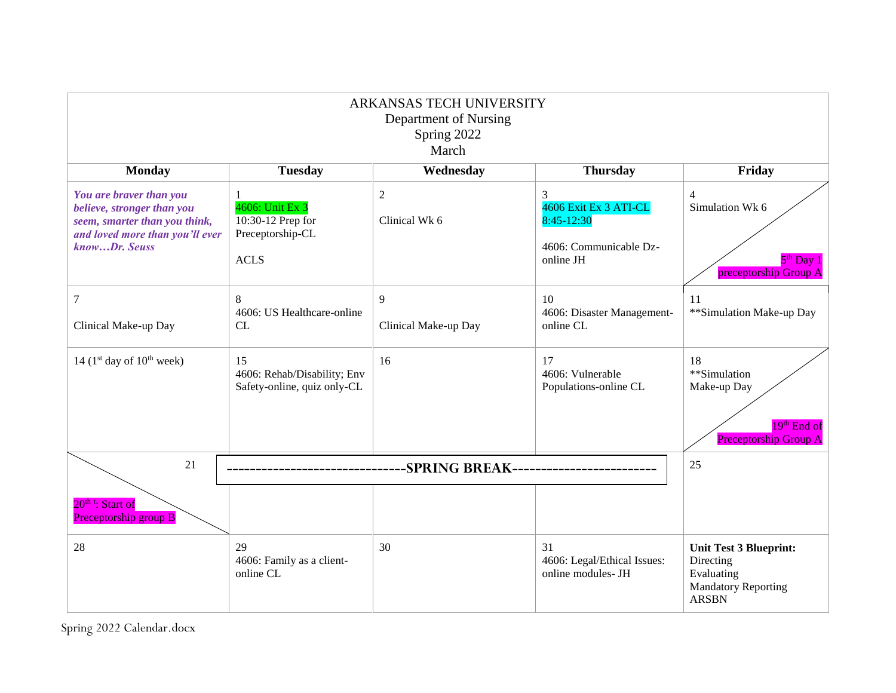|                                                                                                                                            |                                                                         | ARKANSAS TECH UNIVERSITY<br>Department of Nursing<br>Spring 2022<br>March |                                                                                 |                                                                                                        |
|--------------------------------------------------------------------------------------------------------------------------------------------|-------------------------------------------------------------------------|---------------------------------------------------------------------------|---------------------------------------------------------------------------------|--------------------------------------------------------------------------------------------------------|
| <b>Monday</b>                                                                                                                              | <b>Tuesday</b>                                                          | Wednesday                                                                 | <b>Thursday</b>                                                                 | Friday                                                                                                 |
| You are braver than you<br>believe, stronger than you<br>seem, smarter than you think,<br>and loved more than you'll ever<br>knowDr. Seuss | 4606: Unit Ex 3<br>10:30-12 Prep for<br>Preceptorship-CL<br><b>ACLS</b> | $\mathfrak{2}$<br>Clinical Wk 6                                           | 3<br>4606 Exit Ex 3 ATI-CL<br>8:45-12:30<br>4606: Communicable Dz-<br>online JH | $\overline{4}$<br>Simulation Wk 6<br>$5th$ Day 1<br>preceptorship Group A                              |
| 7<br>Clinical Make-up Day                                                                                                                  | 8<br>4606: US Healthcare-online<br>CL                                   | 9<br>Clinical Make-up Day                                                 | 10<br>4606: Disaster Management-<br>online CL                                   | 11<br>**Simulation Make-up Day                                                                         |
| 14 ( $1st$ day of $10th$ week)                                                                                                             | 15<br>4606: Rehab/Disability; Env<br>Safety-online, quiz only-CL        | 16                                                                        | 17<br>4606: Vulnerable<br>Populations-online CL                                 | 18<br>**Simulation<br>Make-up Day<br>$19th$ End of<br><b>Preceptorship Group A</b>                     |
| 21                                                                                                                                         | -SPRING BREAK--------------------                                       |                                                                           |                                                                                 | 25                                                                                                     |
| 20 <sup>th t</sup> : Start of<br>Preceptorship group B                                                                                     |                                                                         |                                                                           |                                                                                 |                                                                                                        |
| 28                                                                                                                                         | 29<br>4606: Family as a client-<br>online CL                            | 30                                                                        | 31<br>4606: Legal/Ethical Issues:<br>online modules- JH                         | <b>Unit Test 3 Blueprint:</b><br>Directing<br>Evaluating<br><b>Mandatory Reporting</b><br><b>ARSBN</b> |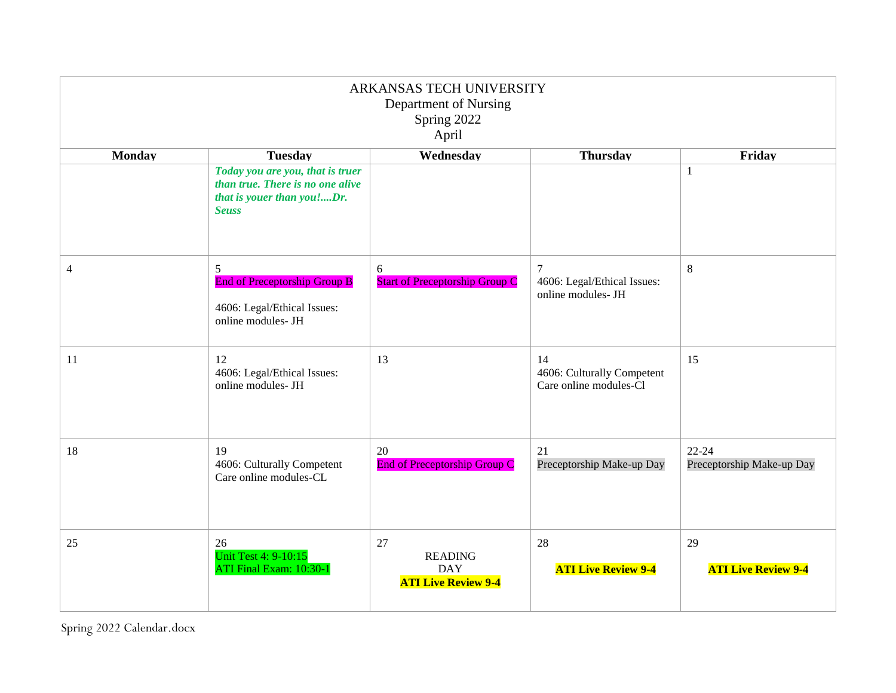| ARKANSAS TECH UNIVERSITY<br>Department of Nursing<br>Spring 2022<br>April |                                                                                                                    |                                                                  |                                                                     |                                        |
|---------------------------------------------------------------------------|--------------------------------------------------------------------------------------------------------------------|------------------------------------------------------------------|---------------------------------------------------------------------|----------------------------------------|
| <b>Monday</b>                                                             | <b>Tuesday</b>                                                                                                     | Wednesday                                                        | <b>Thursday</b>                                                     | Friday                                 |
|                                                                           | Today you are you, that is truer<br>than true. There is no one alive<br>that is youer than you!Dr.<br><b>Seuss</b> |                                                                  |                                                                     | 1                                      |
| $\overline{4}$                                                            | 5<br><b>End of Preceptorship Group B</b><br>4606: Legal/Ethical Issues:<br>online modules- JH                      | 6<br><b>Start of Preceptorship Group C</b>                       | $\overline{7}$<br>4606: Legal/Ethical Issues:<br>online modules- JH | 8                                      |
| 11                                                                        | 12<br>4606: Legal/Ethical Issues:<br>online modules- JH                                                            | 13                                                               | 14<br>4606: Culturally Competent<br>Care online modules-Cl          | 15                                     |
| 18                                                                        | 19<br>4606: Culturally Competent<br>Care online modules-CL                                                         | 20<br><b>End of Preceptorship Group C</b>                        | 21<br>Preceptorship Make-up Day                                     | $22 - 24$<br>Preceptorship Make-up Day |
| 25                                                                        | 26<br><b>Unit Test 4: 9-10:15</b><br>ATI Final Exam: 10:30-1                                                       | 27<br><b>READING</b><br><b>DAY</b><br><b>ATI Live Review 9-4</b> | 28<br><b>ATI Live Review 9-4</b>                                    | 29<br><b>ATI Live Review 9-4</b>       |